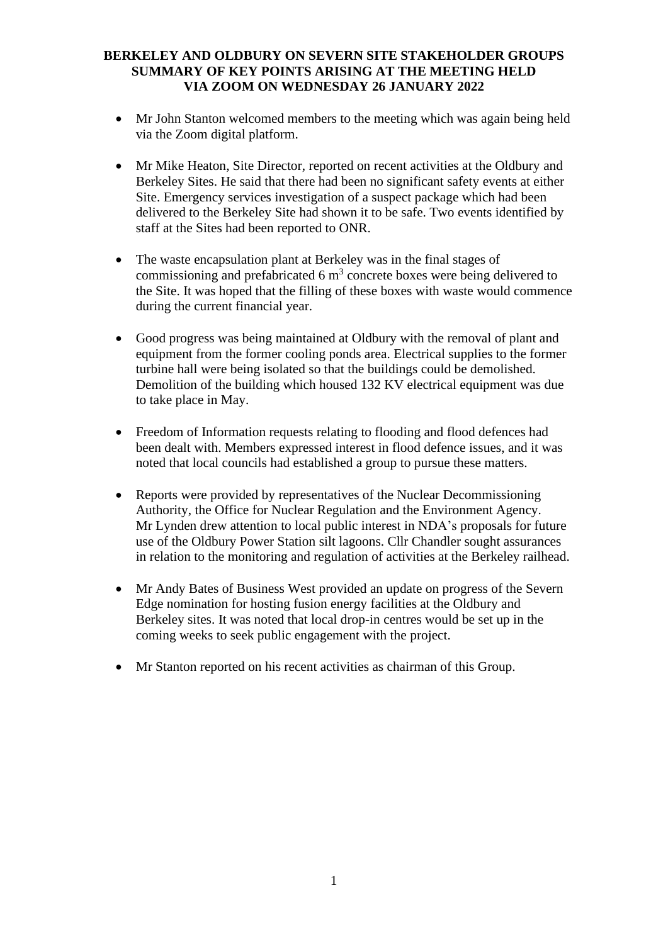## **BERKELEY AND OLDBURY ON SEVERN SITE STAKEHOLDER GROUPS SUMMARY OF KEY POINTS ARISING AT THE MEETING HELD VIA ZOOM ON WEDNESDAY 26 JANUARY 2022**

- Mr John Stanton welcomed members to the meeting which was again being held via the Zoom digital platform.
- Mr Mike Heaton, Site Director, reported on recent activities at the Oldbury and Berkeley Sites. He said that there had been no significant safety events at either Site. Emergency services investigation of a suspect package which had been delivered to the Berkeley Site had shown it to be safe. Two events identified by staff at the Sites had been reported to ONR.
- The waste encapsulation plant at Berkeley was in the final stages of commissioning and prefabricated 6  $m<sup>3</sup>$  concrete boxes were being delivered to the Site. It was hoped that the filling of these boxes with waste would commence during the current financial year.
- Good progress was being maintained at Oldbury with the removal of plant and equipment from the former cooling ponds area. Electrical supplies to the former turbine hall were being isolated so that the buildings could be demolished. Demolition of the building which housed 132 KV electrical equipment was due to take place in May.
- Freedom of Information requests relating to flooding and flood defences had been dealt with. Members expressed interest in flood defence issues, and it was noted that local councils had established a group to pursue these matters.
- Reports were provided by representatives of the Nuclear Decommissioning Authority, the Office for Nuclear Regulation and the Environment Agency. Mr Lynden drew attention to local public interest in NDA's proposals for future use of the Oldbury Power Station silt lagoons. Cllr Chandler sought assurances in relation to the monitoring and regulation of activities at the Berkeley railhead.
- Mr Andy Bates of Business West provided an update on progress of the Severn Edge nomination for hosting fusion energy facilities at the Oldbury and Berkeley sites. It was noted that local drop-in centres would be set up in the coming weeks to seek public engagement with the project.
- Mr Stanton reported on his recent activities as chairman of this Group.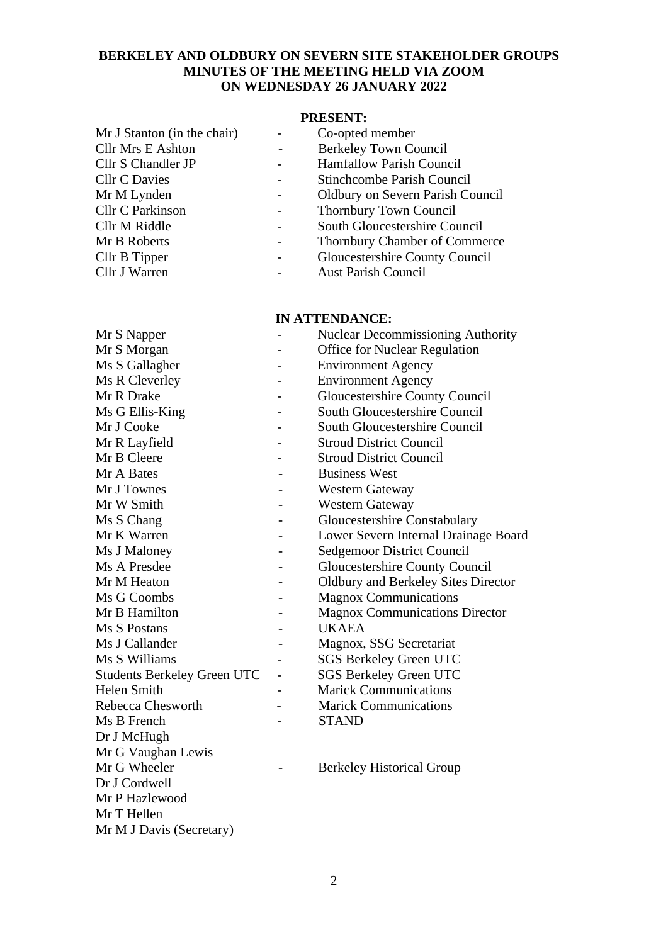## **BERKELEY AND OLDBURY ON SEVERN SITE STAKEHOLDER GROUPS MINUTES OF THE MEETING HELD VIA ZOOM ON WEDNESDAY 26 JANUARY 2022**

#### **PRESENT:**

| Mr J Stanton (in the chair) | Co-opted member                         |
|-----------------------------|-----------------------------------------|
| <b>Cllr Mrs E Ashton</b>    | <b>Berkeley Town Council</b>            |
| Cllr S Chandler JP          | <b>Hamfallow Parish Council</b>         |
| <b>Cllr C Davies</b>        | Stinchcombe Parish Council              |
| Mr M Lynden                 | <b>Oldbury on Severn Parish Council</b> |
| Cllr C Parkinson            | Thornbury Town Council                  |
| Cllr M Riddle               | South Gloucestershire Council           |
| Mr B Roberts                | Thornbury Chamber of Commerce           |
| Cllr B Tipper               | Gloucestershire County Council          |

Cllr J Warren - Aust Parish Council

# **IN ATTENDANCE:**

| пу ат геледије.                    |  |                                            |
|------------------------------------|--|--------------------------------------------|
| Mr S Napper                        |  | <b>Nuclear Decommissioning Authority</b>   |
| Mr S Morgan                        |  | <b>Office for Nuclear Regulation</b>       |
| Ms S Gallagher                     |  | <b>Environment Agency</b>                  |
| Ms R Cleverley                     |  | <b>Environment Agency</b>                  |
| Mr R Drake                         |  | <b>Gloucestershire County Council</b>      |
| Ms G Ellis-King                    |  | <b>South Gloucestershire Council</b>       |
| Mr J Cooke                         |  | <b>South Gloucestershire Council</b>       |
| Mr R Layfield                      |  | <b>Stroud District Council</b>             |
| Mr B Cleere                        |  | <b>Stroud District Council</b>             |
| Mr A Bates                         |  | <b>Business West</b>                       |
| Mr J Townes                        |  | <b>Western Gateway</b>                     |
| Mr W Smith                         |  | <b>Western Gateway</b>                     |
| Ms S Chang                         |  | Gloucestershire Constabulary               |
| Mr K Warren                        |  | Lower Severn Internal Drainage Board       |
| Ms J Maloney                       |  | <b>Sedgemoor District Council</b>          |
| Ms A Presdee                       |  | <b>Gloucestershire County Council</b>      |
| Mr M Heaton                        |  | <b>Oldbury and Berkeley Sites Director</b> |
| Ms G Coombs                        |  | <b>Magnox Communications</b>               |
| Mr B Hamilton                      |  | <b>Magnox Communications Director</b>      |
| Ms S Postans                       |  | <b>UKAEA</b>                               |
| Ms J Callander                     |  | Magnox, SSG Secretariat                    |
| Ms S Williams                      |  | <b>SGS Berkeley Green UTC</b>              |
| <b>Students Berkeley Green UTC</b> |  | <b>SGS Berkeley Green UTC</b>              |
| <b>Helen Smith</b>                 |  | <b>Marick Communications</b>               |
| Rebecca Chesworth                  |  | <b>Marick Communications</b>               |
| Ms B French                        |  | <b>STAND</b>                               |
| Dr J McHugh                        |  |                                            |
| Mr G Vaughan Lewis                 |  |                                            |
| Mr G Wheeler                       |  | <b>Berkeley Historical Group</b>           |
| Dr J Cordwell                      |  |                                            |
| Mr P Hazlewood                     |  |                                            |
|                                    |  |                                            |

Mr T Hellen Mr M J Davis (Secretary)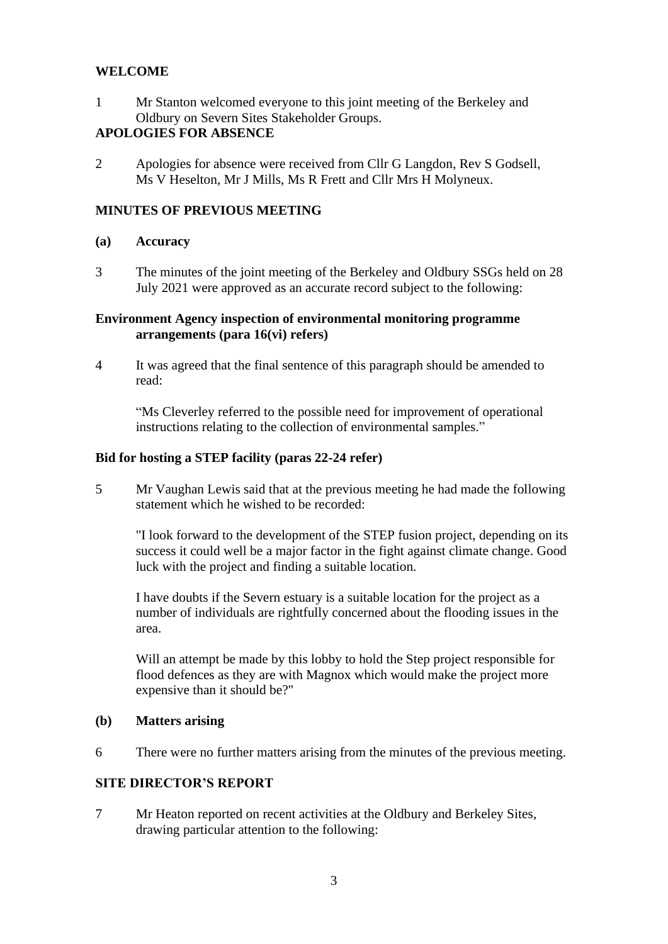## **WELCOME**

1 Mr Stanton welcomed everyone to this joint meeting of the Berkeley and Oldbury on Severn Sites Stakeholder Groups.

## **APOLOGIES FOR ABSENCE**

2 Apologies for absence were received from Cllr G Langdon, Rev S Godsell, Ms V Heselton, Mr J Mills, Ms R Frett and Cllr Mrs H Molyneux.

## **MINUTES OF PREVIOUS MEETING**

#### **(a) Accuracy**

3 The minutes of the joint meeting of the Berkeley and Oldbury SSGs held on 28 July 2021 were approved as an accurate record subject to the following:

#### **Environment Agency inspection of environmental monitoring programme arrangements (para 16(vi) refers)**

4 It was agreed that the final sentence of this paragraph should be amended to read:

"Ms Cleverley referred to the possible need for improvement of operational instructions relating to the collection of environmental samples."

#### **Bid for hosting a STEP facility (paras 22-24 refer)**

5 Mr Vaughan Lewis said that at the previous meeting he had made the following statement which he wished to be recorded:

"I look forward to the development of the STEP fusion project, depending on its success it could well be a major factor in the fight against climate change. Good luck with the project and finding a suitable location.

I have doubts if the Severn estuary is a suitable location for the project as a number of individuals are rightfully concerned about the flooding issues in the area.

Will an attempt be made by this lobby to hold the Step project responsible for flood defences as they are with Magnox which would make the project more expensive than it should be?"

#### **(b) Matters arising**

6 There were no further matters arising from the minutes of the previous meeting.

## **SITE DIRECTOR'S REPORT**

7 Mr Heaton reported on recent activities at the Oldbury and Berkeley Sites, drawing particular attention to the following: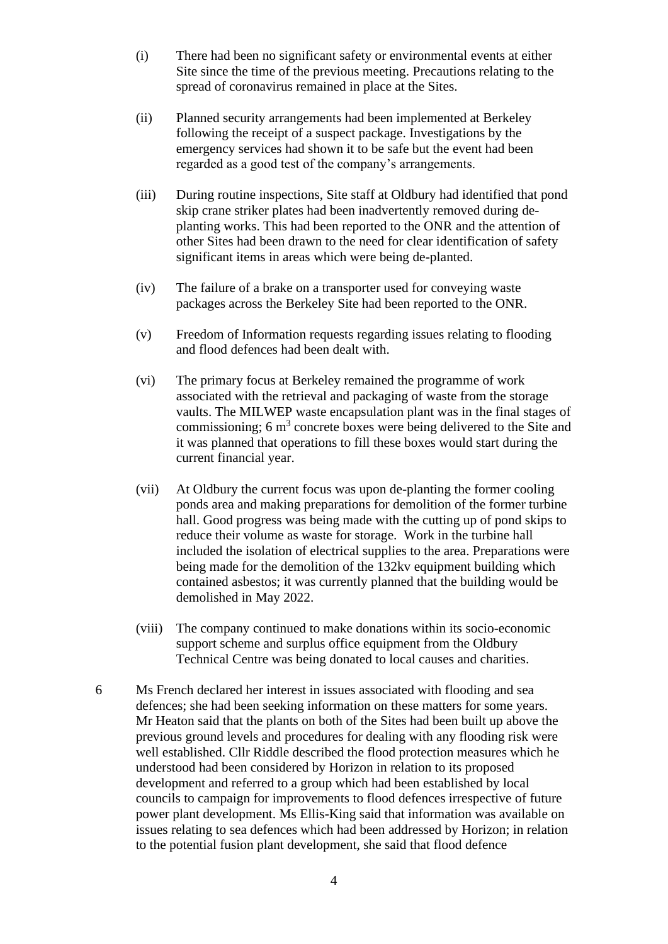- (i) There had been no significant safety or environmental events at either Site since the time of the previous meeting. Precautions relating to the spread of coronavirus remained in place at the Sites.
- (ii) Planned security arrangements had been implemented at Berkeley following the receipt of a suspect package. Investigations by the emergency services had shown it to be safe but the event had been regarded as a good test of the company's arrangements.
- (iii) During routine inspections, Site staff at Oldbury had identified that pond skip crane striker plates had been inadvertently removed during deplanting works. This had been reported to the ONR and the attention of other Sites had been drawn to the need for clear identification of safety significant items in areas which were being de-planted.
- (iv) The failure of a brake on a transporter used for conveying waste packages across the Berkeley Site had been reported to the ONR.
- (v) Freedom of Information requests regarding issues relating to flooding and flood defences had been dealt with.
- (vi) The primary focus at Berkeley remained the programme of work associated with the retrieval and packaging of waste from the storage vaults. The MILWEP waste encapsulation plant was in the final stages of commissioning;  $6 \text{ m}^3$  concrete boxes were being delivered to the Site and it was planned that operations to fill these boxes would start during the current financial year.
- (vii) At Oldbury the current focus was upon de-planting the former cooling ponds area and making preparations for demolition of the former turbine hall. Good progress was being made with the cutting up of pond skips to reduce their volume as waste for storage. Work in the turbine hall included the isolation of electrical supplies to the area. Preparations were being made for the demolition of the 132kv equipment building which contained asbestos; it was currently planned that the building would be demolished in May 2022.
- (viii) The company continued to make donations within its socio-economic support scheme and surplus office equipment from the Oldbury Technical Centre was being donated to local causes and charities.
- 6 Ms French declared her interest in issues associated with flooding and sea defences; she had been seeking information on these matters for some years. Mr Heaton said that the plants on both of the Sites had been built up above the previous ground levels and procedures for dealing with any flooding risk were well established. Cllr Riddle described the flood protection measures which he understood had been considered by Horizon in relation to its proposed development and referred to a group which had been established by local councils to campaign for improvements to flood defences irrespective of future power plant development. Ms Ellis-King said that information was available on issues relating to sea defences which had been addressed by Horizon; in relation to the potential fusion plant development, she said that flood defence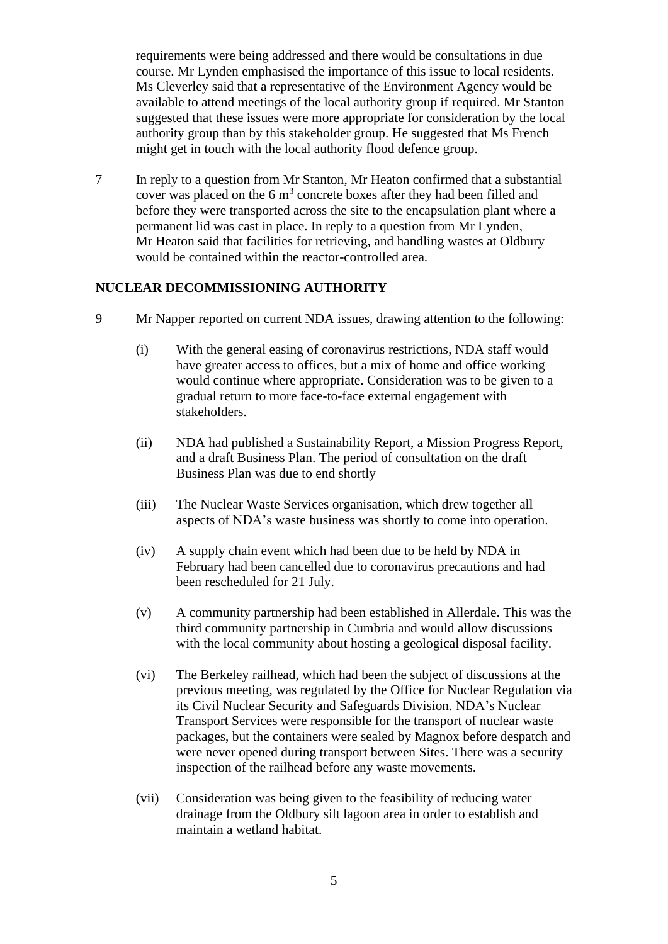requirements were being addressed and there would be consultations in due course. Mr Lynden emphasised the importance of this issue to local residents. Ms Cleverley said that a representative of the Environment Agency would be available to attend meetings of the local authority group if required. Mr Stanton suggested that these issues were more appropriate for consideration by the local authority group than by this stakeholder group. He suggested that Ms French might get in touch with the local authority flood defence group.

7 In reply to a question from Mr Stanton, Mr Heaton confirmed that a substantial cover was placed on the  $6 \text{ m}^3$  concrete boxes after they had been filled and before they were transported across the site to the encapsulation plant where a permanent lid was cast in place. In reply to a question from Mr Lynden, Mr Heaton said that facilities for retrieving, and handling wastes at Oldbury would be contained within the reactor-controlled area.

## **NUCLEAR DECOMMISSIONING AUTHORITY**

- 9 Mr Napper reported on current NDA issues, drawing attention to the following:
	- (i) With the general easing of coronavirus restrictions, NDA staff would have greater access to offices, but a mix of home and office working would continue where appropriate. Consideration was to be given to a gradual return to more face-to-face external engagement with stakeholders.
	- (ii) NDA had published a Sustainability Report, a Mission Progress Report, and a draft Business Plan. The period of consultation on the draft Business Plan was due to end shortly
	- (iii) The Nuclear Waste Services organisation, which drew together all aspects of NDA's waste business was shortly to come into operation.
	- (iv) A supply chain event which had been due to be held by NDA in February had been cancelled due to coronavirus precautions and had been rescheduled for 21 July.
	- (v) A community partnership had been established in Allerdale. This was the third community partnership in Cumbria and would allow discussions with the local community about hosting a geological disposal facility.
	- (vi) The Berkeley railhead, which had been the subject of discussions at the previous meeting, was regulated by the Office for Nuclear Regulation via its Civil Nuclear Security and Safeguards Division. NDA's Nuclear Transport Services were responsible for the transport of nuclear waste packages, but the containers were sealed by Magnox before despatch and were never opened during transport between Sites. There was a security inspection of the railhead before any waste movements.
	- (vii) Consideration was being given to the feasibility of reducing water drainage from the Oldbury silt lagoon area in order to establish and maintain a wetland habitat.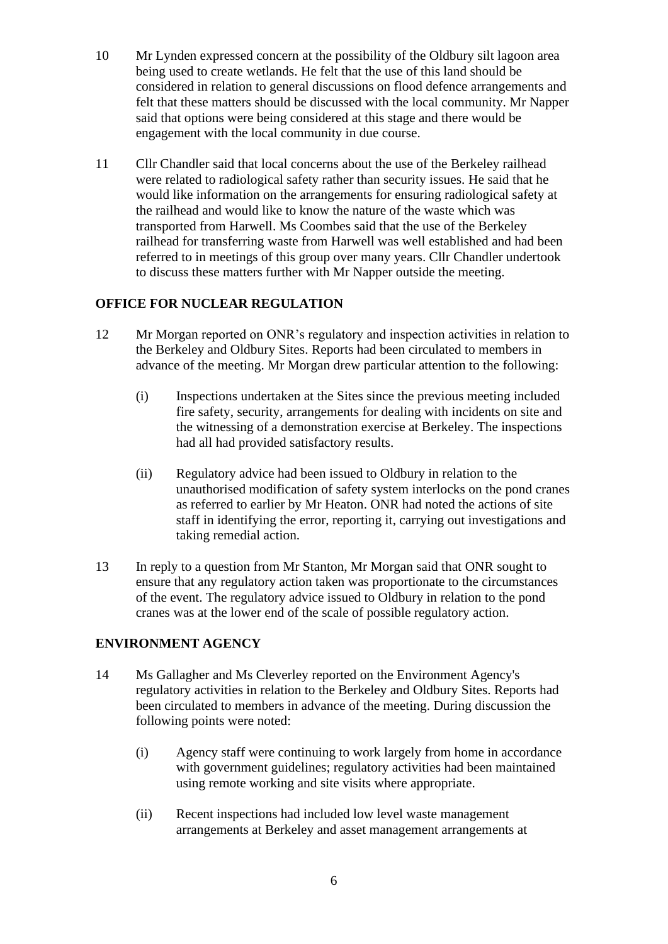- 10 Mr Lynden expressed concern at the possibility of the Oldbury silt lagoon area being used to create wetlands. He felt that the use of this land should be considered in relation to general discussions on flood defence arrangements and felt that these matters should be discussed with the local community. Mr Napper said that options were being considered at this stage and there would be engagement with the local community in due course.
- 11 Cllr Chandler said that local concerns about the use of the Berkeley railhead were related to radiological safety rather than security issues. He said that he would like information on the arrangements for ensuring radiological safety at the railhead and would like to know the nature of the waste which was transported from Harwell. Ms Coombes said that the use of the Berkeley railhead for transferring waste from Harwell was well established and had been referred to in meetings of this group over many years. Cllr Chandler undertook to discuss these matters further with Mr Napper outside the meeting.

## **OFFICE FOR NUCLEAR REGULATION**

- 12 Mr Morgan reported on ONR's regulatory and inspection activities in relation to the Berkeley and Oldbury Sites. Reports had been circulated to members in advance of the meeting. Mr Morgan drew particular attention to the following:
	- (i) Inspections undertaken at the Sites since the previous meeting included fire safety, security, arrangements for dealing with incidents on site and the witnessing of a demonstration exercise at Berkeley. The inspections had all had provided satisfactory results.
	- (ii) Regulatory advice had been issued to Oldbury in relation to the unauthorised modification of safety system interlocks on the pond cranes as referred to earlier by Mr Heaton. ONR had noted the actions of site staff in identifying the error, reporting it, carrying out investigations and taking remedial action.
- 13 In reply to a question from Mr Stanton, Mr Morgan said that ONR sought to ensure that any regulatory action taken was proportionate to the circumstances of the event. The regulatory advice issued to Oldbury in relation to the pond cranes was at the lower end of the scale of possible regulatory action.

#### **ENVIRONMENT AGENCY**

- 14 Ms Gallagher and Ms Cleverley reported on the Environment Agency's regulatory activities in relation to the Berkeley and Oldbury Sites. Reports had been circulated to members in advance of the meeting. During discussion the following points were noted:
	- (i) Agency staff were continuing to work largely from home in accordance with government guidelines; regulatory activities had been maintained using remote working and site visits where appropriate.
	- (ii) Recent inspections had included low level waste management arrangements at Berkeley and asset management arrangements at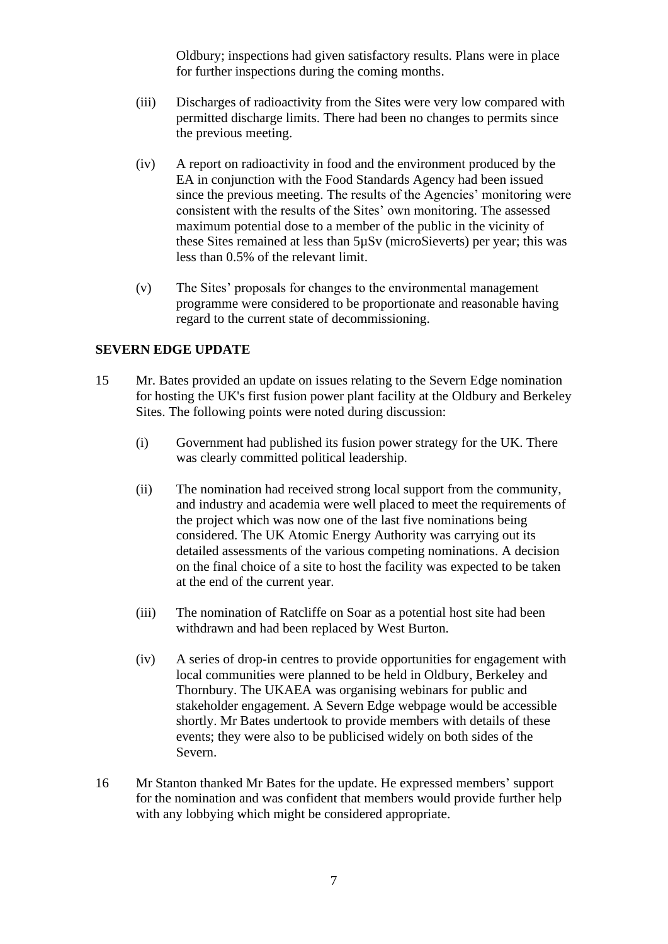Oldbury; inspections had given satisfactory results. Plans were in place for further inspections during the coming months.

- (iii) Discharges of radioactivity from the Sites were very low compared with permitted discharge limits. There had been no changes to permits since the previous meeting.
- (iv) A report on radioactivity in food and the environment produced by the EA in conjunction with the Food Standards Agency had been issued since the previous meeting. The results of the Agencies' monitoring were consistent with the results of the Sites' own monitoring. The assessed maximum potential dose to a member of the public in the vicinity of these Sites remained at less than 5µSv (microSieverts) per year; this was less than 0.5% of the relevant limit.
- (v) The Sites' proposals for changes to the environmental management programme were considered to be proportionate and reasonable having regard to the current state of decommissioning.

## **SEVERN EDGE UPDATE**

- 15 Mr. Bates provided an update on issues relating to the Severn Edge nomination for hosting the UK's first fusion power plant facility at the Oldbury and Berkeley Sites. The following points were noted during discussion:
	- (i) Government had published its fusion power strategy for the UK. There was clearly committed political leadership.
	- (ii) The nomination had received strong local support from the community, and industry and academia were well placed to meet the requirements of the project which was now one of the last five nominations being considered. The UK Atomic Energy Authority was carrying out its detailed assessments of the various competing nominations. A decision on the final choice of a site to host the facility was expected to be taken at the end of the current year.
	- (iii) The nomination of Ratcliffe on Soar as a potential host site had been withdrawn and had been replaced by West Burton.
	- (iv) A series of drop-in centres to provide opportunities for engagement with local communities were planned to be held in Oldbury, Berkeley and Thornbury. The UKAEA was organising webinars for public and stakeholder engagement. A Severn Edge webpage would be accessible shortly. Mr Bates undertook to provide members with details of these events; they were also to be publicised widely on both sides of the Severn.
- 16 Mr Stanton thanked Mr Bates for the update. He expressed members' support for the nomination and was confident that members would provide further help with any lobbying which might be considered appropriate.